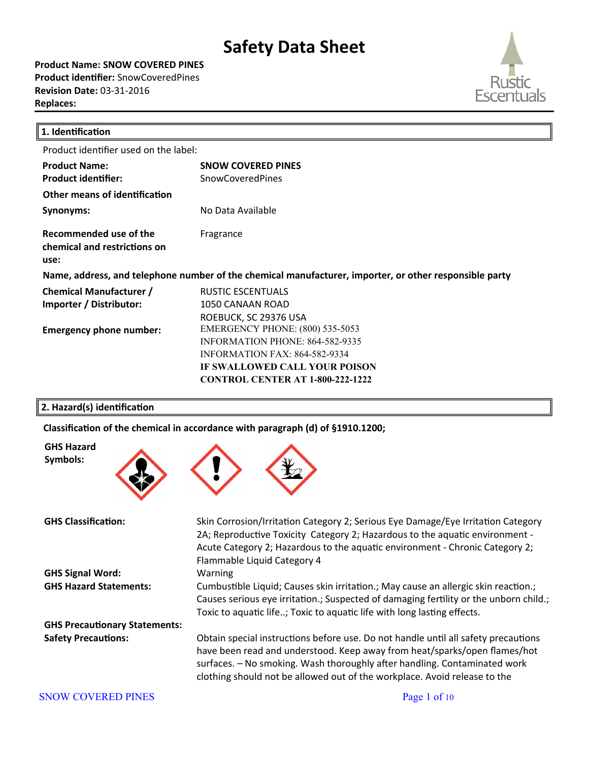**Product Name: SNOW COVERED PINES Product identifier:** SnowCoveredPines **Revision Date:** 03-31-2016 **Replaces:** 



| 1. Identification                                              |                                                                                                                                                                                                      |
|----------------------------------------------------------------|------------------------------------------------------------------------------------------------------------------------------------------------------------------------------------------------------|
| Product identifier used on the label:                          |                                                                                                                                                                                                      |
| <b>Product Name:</b><br><b>Product identifier:</b>             | <b>SNOW COVERED PINES</b><br><b>SnowCoveredPines</b>                                                                                                                                                 |
| Other means of identification                                  |                                                                                                                                                                                                      |
| Synonyms:                                                      | No Data Available                                                                                                                                                                                    |
| Recommended use of the<br>chemical and restrictions on<br>use: | Fragrance                                                                                                                                                                                            |
|                                                                | Name, address, and telephone number of the chemical manufacturer, importer, or other responsible party                                                                                               |
| <b>Chemical Manufacturer /</b><br>Importer / Distributor:      | <b>RUSTIC ESCENTUALS</b><br>1050 CANAAN ROAD<br>ROEBUCK, SC 29376 USA                                                                                                                                |
| <b>Emergency phone number:</b>                                 | <b>EMERGENCY PHONE: (800) 535-5053</b><br><b>INFORMATION PHONE: 864-582-9335</b><br><b>INFORMATION FAX: 864-582-9334</b><br>IF SWALLOWED CALL YOUR POISON<br><b>CONTROL CENTER AT 1-800-222-1222</b> |

#### **2. Hazard(s) identification**

**GHS Hazard Symbols:**

Classification of the chemical in accordance with paragraph (d) of §1910.1200;



**GHS Classification:** Skin Corrosion/Irritaton Category 2; Serious Eye Damage/Eye Irritaton Category 2A; Reproductive Toxicity Category 2; Hazardous to the aquatic environment -Acute Category 2; Hazardous to the aquatic environment - Chronic Category 2; Flammable Liquid Category 4 **GHS Signal Word:** Warning GHS Hazard Statements: Cumbustible Liquid; Causes skin irritation.; May cause an allergic skin reaction.; Causes serious eye irritation.; Suspected of damaging fertility or the unborn child.; Toxic to aquatic life..; Toxic to aquatic life with long lasting effects. **GHS Precautionary Statements: Safety Precautions:** Obtain special instructions before use. Do not handle until all safety precautions have been read and understood. Keep away from heat/sparks/open fames/hot surfaces. – No smoking. Wash thoroughly after handling. Contaminated work clothing should not be allowed out of the workplace. Avoid release to the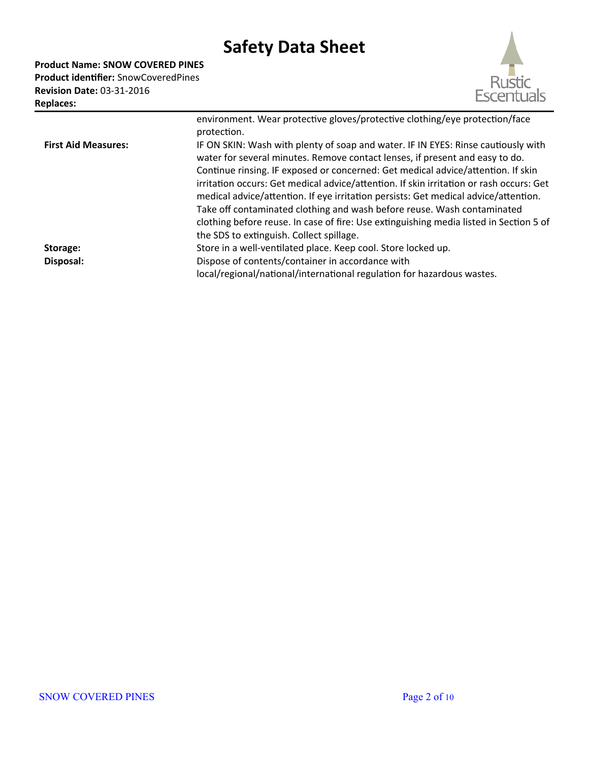**Product Name: SNOW COVERED PINES Product identifier:** SnowCoveredPines **Revision Date:** 03-31-2016 **Replaces:** 



|                            | environment. Wear protective gloves/protective clothing/eye protection/face<br>protection.                                                                                                                                                                                                                                                                                                                                                                                                                                                                                                                                                               |
|----------------------------|----------------------------------------------------------------------------------------------------------------------------------------------------------------------------------------------------------------------------------------------------------------------------------------------------------------------------------------------------------------------------------------------------------------------------------------------------------------------------------------------------------------------------------------------------------------------------------------------------------------------------------------------------------|
| <b>First Aid Measures:</b> | IF ON SKIN: Wash with plenty of soap and water. IF IN EYES: Rinse cautiously with<br>water for several minutes. Remove contact lenses, if present and easy to do.<br>Continue rinsing. IF exposed or concerned: Get medical advice/attention. If skin<br>irritation occurs: Get medical advice/attention. If skin irritation or rash occurs: Get<br>medical advice/attention. If eye irritation persists: Get medical advice/attention.<br>Take off contaminated clothing and wash before reuse. Wash contaminated<br>clothing before reuse. In case of fire: Use extinguishing media listed in Section 5 of<br>the SDS to extinguish. Collect spillage. |
| Storage:                   | Store in a well-ventilated place. Keep cool. Store locked up.                                                                                                                                                                                                                                                                                                                                                                                                                                                                                                                                                                                            |
| Disposal:                  | Dispose of contents/container in accordance with<br>local/regional/national/international regulation for hazardous wastes.                                                                                                                                                                                                                                                                                                                                                                                                                                                                                                                               |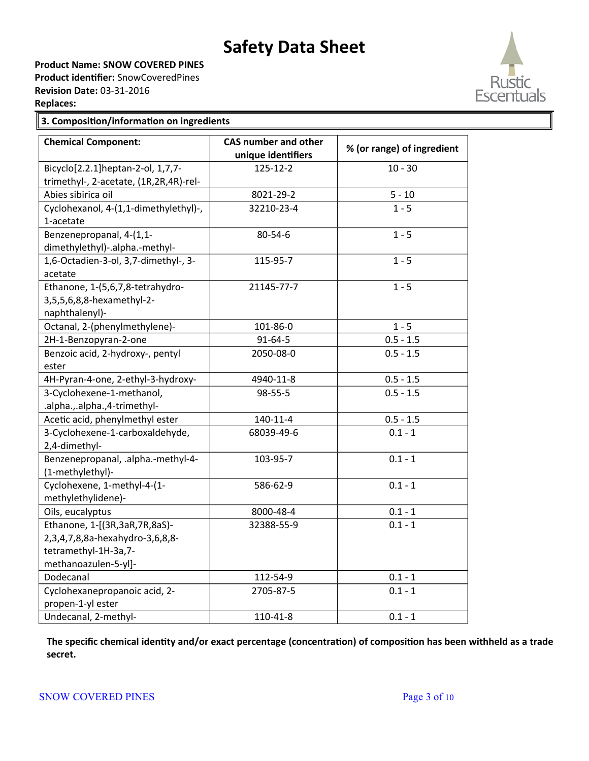**Product Name: SNOW COVERED PINES**

**Product identifier:** SnowCoveredPines **Revision Date:** 03-31-2016



#### **3. Composition/information on ingredients**

| <b>Chemical Component:</b>             | <b>CAS number and other</b><br>unique identifiers | % (or range) of ingredient |
|----------------------------------------|---------------------------------------------------|----------------------------|
| Bicyclo[2.2.1]heptan-2-ol, 1,7,7-      | 125-12-2                                          | $10 - 30$                  |
| trimethyl-, 2-acetate, (1R,2R,4R)-rel- |                                                   |                            |
| Abies sibirica oil                     | 8021-29-2                                         | $5 - 10$                   |
| Cyclohexanol, 4-(1,1-dimethylethyl)-,  | 32210-23-4                                        | $1 - 5$                    |
| 1-acetate                              |                                                   |                            |
| Benzenepropanal, 4-(1,1-               | 80-54-6                                           | $1 - 5$                    |
| dimethylethyl)-.alpha.-methyl-         |                                                   |                            |
| 1,6-Octadien-3-ol, 3,7-dimethyl-, 3-   | 115-95-7                                          | $1 - 5$                    |
| acetate                                |                                                   |                            |
| Ethanone, 1-(5,6,7,8-tetrahydro-       | 21145-77-7                                        | $1 - 5$                    |
| 3,5,5,6,8,8-hexamethyl-2-              |                                                   |                            |
| naphthalenyl)-                         |                                                   |                            |
| Octanal, 2-(phenylmethylene)-          | 101-86-0                                          | $1 - 5$                    |
| 2H-1-Benzopyran-2-one                  | $91 - 64 - 5$                                     | $0.5 - 1.5$                |
| Benzoic acid, 2-hydroxy-, pentyl       | 2050-08-0                                         | $0.5 - 1.5$                |
| ester                                  |                                                   |                            |
| 4H-Pyran-4-one, 2-ethyl-3-hydroxy-     | 4940-11-8                                         | $0.5 - 1.5$                |
| 3-Cyclohexene-1-methanol,              | 98-55-5                                           | $0.5 - 1.5$                |
| .alpha.,.alpha.,4-trimethyl-           |                                                   |                            |
| Acetic acid, phenylmethyl ester        | $140 - 11 - 4$                                    | $0.5 - 1.5$                |
| 3-Cyclohexene-1-carboxaldehyde,        | 68039-49-6                                        | $0.1 - 1$                  |
| 2,4-dimethyl-                          |                                                   |                            |
| Benzenepropanal, .alpha.-methyl-4-     | 103-95-7                                          | $0.1 - 1$                  |
| (1-methylethyl)-                       |                                                   |                            |
| Cyclohexene, 1-methyl-4-(1-            | 586-62-9                                          | $0.1 - 1$                  |
| methylethylidene)-                     |                                                   |                            |
| Oils, eucalyptus                       | 8000-48-4                                         | $0.1 - 1$                  |
| Ethanone, 1-[(3R,3aR,7R,8aS)-          | 32388-55-9                                        | $0.1 - 1$                  |
| 2,3,4,7,8,8a-hexahydro-3,6,8,8-        |                                                   |                            |
| tetramethyl-1H-3a,7-                   |                                                   |                            |
| methanoazulen-5-yl]-                   |                                                   |                            |
| Dodecanal                              | 112-54-9                                          | $0.1 - 1$                  |
| Cyclohexanepropanoic acid, 2-          | 2705-87-5                                         | $0.1 - 1$                  |
| propen-1-yl ester                      |                                                   |                            |
| Undecanal, 2-methyl-                   | 110-41-8                                          | $0.1 - 1$                  |

**The specific chemical identity and/or exact percentage (concentration) of composition has been withheld as a trade secret.**

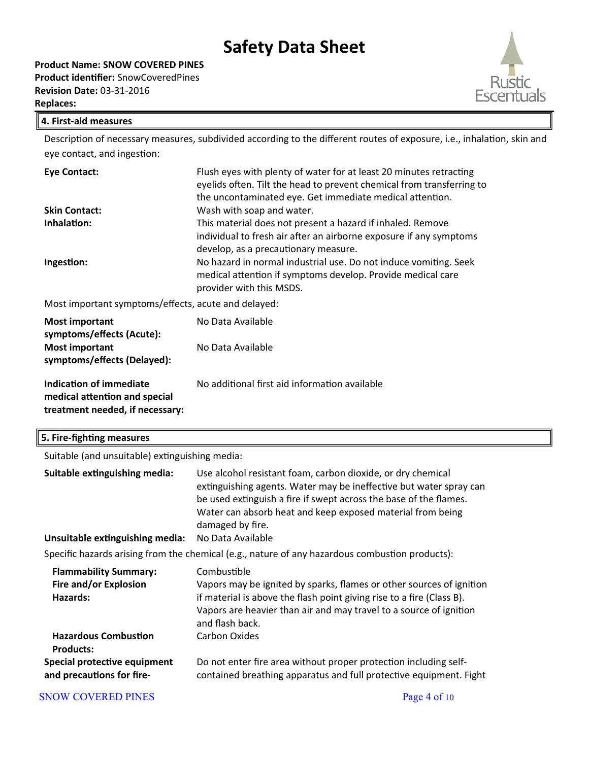**Product Name: SNOW COVERED PINES Product identifier:** SnowCoveredPines **Revision Date:** 03-31-2016 **Replaces:** 



#### **4. First-aid measures**

Description of necessary measures, subdivided according to the different routes of exposure, i.e., inhalation, skin and eye contact, and ingestion:

| <b>Eye Contact:</b>                                  | Flush eyes with plenty of water for at least 20 minutes retracting<br>eyelids often. Tilt the head to prevent chemical from transferring to<br>the uncontaminated eye. Get immediate medical attention.                                                                                                                                 |
|------------------------------------------------------|-----------------------------------------------------------------------------------------------------------------------------------------------------------------------------------------------------------------------------------------------------------------------------------------------------------------------------------------|
| <b>Skin Contact:</b>                                 | Wash with soap and water.                                                                                                                                                                                                                                                                                                               |
| Inhalation:<br>Ingestion:                            | This material does not present a hazard if inhaled. Remove<br>individual to fresh air after an airborne exposure if any symptoms<br>develop, as a precautionary measure.<br>No hazard in normal industrial use. Do not induce vomiting. Seek<br>medical attention if symptoms develop. Provide medical care<br>provider with this MSDS. |
| Most important symptoms/effects, acute and delayed:  |                                                                                                                                                                                                                                                                                                                                         |
| <b>Most important</b><br>symptoms/effects (Acute):   | No Data Available                                                                                                                                                                                                                                                                                                                       |
| <b>Most important</b><br>symptoms/effects (Delayed): | No Data Available                                                                                                                                                                                                                                                                                                                       |
| Indication of immediate                              | No additional first aid information available                                                                                                                                                                                                                                                                                           |

**medical atention and special treatment needed, if necessary:**

| 5. Fire-fighting measures                                         |                                                                                                                                                                                                                                                                                          |  |  |
|-------------------------------------------------------------------|------------------------------------------------------------------------------------------------------------------------------------------------------------------------------------------------------------------------------------------------------------------------------------------|--|--|
|                                                                   | Suitable (and unsuitable) extinguishing media:                                                                                                                                                                                                                                           |  |  |
| Suitable extinguishing media:                                     | Use alcohol resistant foam, carbon dioxide, or dry chemical<br>extinguishing agents. Water may be ineffective but water spray can<br>be used extinguish a fire if swept across the base of the flames.<br>Water can absorb heat and keep exposed material from being<br>damaged by fire. |  |  |
| Unsuitable extinguishing media:                                   | No Data Available                                                                                                                                                                                                                                                                        |  |  |
|                                                                   | Specific hazards arising from the chemical (e.g., nature of any hazardous combustion products):                                                                                                                                                                                          |  |  |
| <b>Flammability Summary:</b><br>Fire and/or Explosion<br>Hazards: | Combustible<br>Vapors may be ignited by sparks, flames or other sources of ignition<br>if material is above the flash point giving rise to a fire (Class B).<br>Vapors are heavier than air and may travel to a source of ignition<br>and flash back.                                    |  |  |
| <b>Hazardous Combustion</b><br><b>Products:</b>                   | <b>Carbon Oxides</b>                                                                                                                                                                                                                                                                     |  |  |
| Special protective equipment<br>and precautions for fire-         | Do not enter fire area without proper protection including self-<br>contained breathing apparatus and full protective equipment. Fight                                                                                                                                                   |  |  |

#### SNOW COVERED PINES Page 4 of 10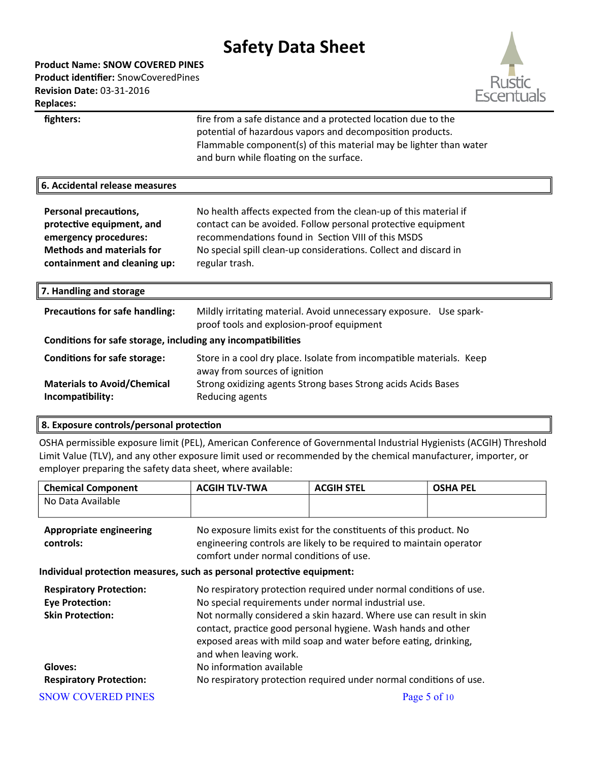**Product Name: SNOW COVERED PINES Product identifier:** SnowCoveredPines **Revision Date:** 03-31-2016 **Replaces:** 



| fighters:                                                                                                                                              | fire from a safe distance and a protected location due to the<br>potential of hazardous vapors and decomposition products.<br>Flammable component(s) of this material may be lighter than water<br>and burn while floating on the surface.                                   |
|--------------------------------------------------------------------------------------------------------------------------------------------------------|------------------------------------------------------------------------------------------------------------------------------------------------------------------------------------------------------------------------------------------------------------------------------|
| 6. Accidental release measures                                                                                                                         |                                                                                                                                                                                                                                                                              |
| <b>Personal precautions,</b><br>protective equipment, and<br>emergency procedures:<br><b>Methods and materials for</b><br>containment and cleaning up: | No health affects expected from the clean-up of this material if<br>contact can be avoided. Follow personal protective equipment<br>recommendations found in Section VIII of this MSDS<br>No special spill clean-up considerations. Collect and discard in<br>regular trash. |
| 7. Handling and storage                                                                                                                                |                                                                                                                                                                                                                                                                              |
| <b>Precautions for safe handling:</b>                                                                                                                  | Mildly irritating material. Avoid unnecessary exposure. Use spark-<br>proof tools and explosion-proof equipment                                                                                                                                                              |
| Conditions for safe storage, including any incompatibilities                                                                                           |                                                                                                                                                                                                                                                                              |
| <b>Conditions for safe storage:</b><br><b>Materials to Avoid/Chemical</b><br>Incompatibility:                                                          | Store in a cool dry place. Isolate from incompatible materials. Keep<br>away from sources of ignition<br>Strong oxidizing agents Strong bases Strong acids Acids Bases<br>Reducing agents                                                                                    |
|                                                                                                                                                        |                                                                                                                                                                                                                                                                              |

#### **8. Exposure controls/personal protection**

OSHA permissible exposure limit (PEL), American Conference of Governmental Industrial Hygienists (ACGIH) Threshold Limit Value (TLV), and any other exposure limit used or recommended by the chemical manufacturer, importer, or employer preparing the safety data sheet, where available:

| <b>Chemical Component</b>                                                           | <b>ACGIH TLV-TWA</b>                                                                                                                                                                                                                                                                                                                                            | <b>ACGIH STEL</b>                                                                                                                        | <b>OSHA PEL</b> |  |
|-------------------------------------------------------------------------------------|-----------------------------------------------------------------------------------------------------------------------------------------------------------------------------------------------------------------------------------------------------------------------------------------------------------------------------------------------------------------|------------------------------------------------------------------------------------------------------------------------------------------|-----------------|--|
| No Data Available                                                                   |                                                                                                                                                                                                                                                                                                                                                                 |                                                                                                                                          |                 |  |
| <b>Appropriate engineering</b><br>controls:                                         | comfort under normal conditions of use.                                                                                                                                                                                                                                                                                                                         | No exposure limits exist for the constituents of this product. No<br>engineering controls are likely to be required to maintain operator |                 |  |
| Individual protection measures, such as personal protective equipment:              |                                                                                                                                                                                                                                                                                                                                                                 |                                                                                                                                          |                 |  |
| <b>Respiratory Protection:</b><br><b>Eye Protection:</b><br><b>Skin Protection:</b> | No respiratory protection required under normal conditions of use.<br>No special requirements under normal industrial use.<br>Not normally considered a skin hazard. Where use can result in skin<br>contact, practice good personal hygiene. Wash hands and other<br>exposed areas with mild soap and water before eating, drinking,<br>and when leaving work. |                                                                                                                                          |                 |  |
| Gloves:<br><b>Respiratory Protection:</b>                                           | No information available<br>No respiratory protection required under normal conditions of use.                                                                                                                                                                                                                                                                  |                                                                                                                                          |                 |  |
| <b>SNOW COVERED PINES</b>                                                           |                                                                                                                                                                                                                                                                                                                                                                 |                                                                                                                                          | Page 5 of 10    |  |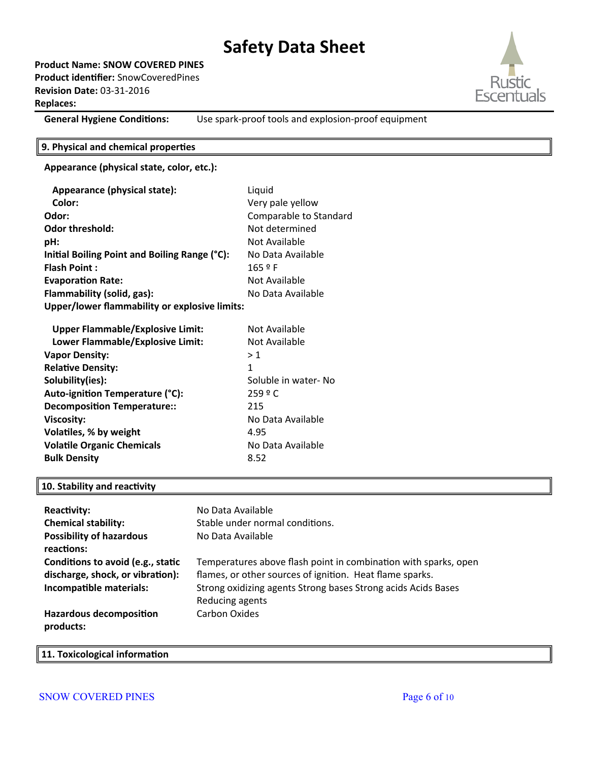**Product Name: SNOW COVERED PINES Product identifier:** SnowCoveredPines **Revision Date:** 03-31-2016 **Replaces:** 



**General Hygiene Conditions:** Use spark-proof tools and explosion-proof equipment

#### **9. Physical and chemical properties**

#### **Appearance (physical state, color, etc.):**

| Appearance (physical state):                         | Liquid                 |
|------------------------------------------------------|------------------------|
| Color:                                               | Very pale yellow       |
| Odor:                                                | Comparable to Standard |
| <b>Odor threshold:</b>                               | Not determined         |
| pH:                                                  | Not Available          |
| Initial Boiling Point and Boiling Range (°C):        | No Data Available      |
| <b>Flash Point:</b>                                  | 165 º F                |
| <b>Evaporation Rate:</b>                             | Not Available          |
| Flammability (solid, gas):                           | No Data Available      |
| <b>Upper/lower flammability or explosive limits:</b> |                        |
| <b>Upper Flammable/Explosive Limit:</b>              | Not Available          |
| Lower Flammable/Explosive Limit:                     | Not Available          |
| <b>Vapor Density:</b>                                | >1                     |
| <b>Relative Density:</b>                             | 1                      |
| Solubility(ies):                                     | Soluble in water- No   |
| Auto-ignition Temperature (°C):                      | 259 º C                |
| <b>Decomposition Temperature::</b>                   | 215                    |
| <b>Viscosity:</b>                                    | No Data Available      |
| Volatiles, % by weight                               | 4.95                   |
| <b>Volatile Organic Chemicals</b>                    | No Data Available      |
| <b>Bulk Density</b>                                  | 8.52                   |

#### **10. Stability and reactivity**

| <b>Reactivity:</b><br><b>Chemical stability:</b><br><b>Possibility of hazardous</b><br>reactions: | No Data Available<br>Stable under normal conditions.<br>No Data Available                                                                                                                                       |
|---------------------------------------------------------------------------------------------------|-----------------------------------------------------------------------------------------------------------------------------------------------------------------------------------------------------------------|
| Conditions to avoid (e.g., static<br>discharge, shock, or vibration):<br>Incompatible materials:  | Temperatures above flash point in combination with sparks, open<br>flames, or other sources of ignition. Heat flame sparks.<br>Strong oxidizing agents Strong bases Strong acids Acids Bases<br>Reducing agents |
| <b>Hazardous decomposition</b><br>products:                                                       | Carbon Oxides                                                                                                                                                                                                   |

#### **11. Toxicological information**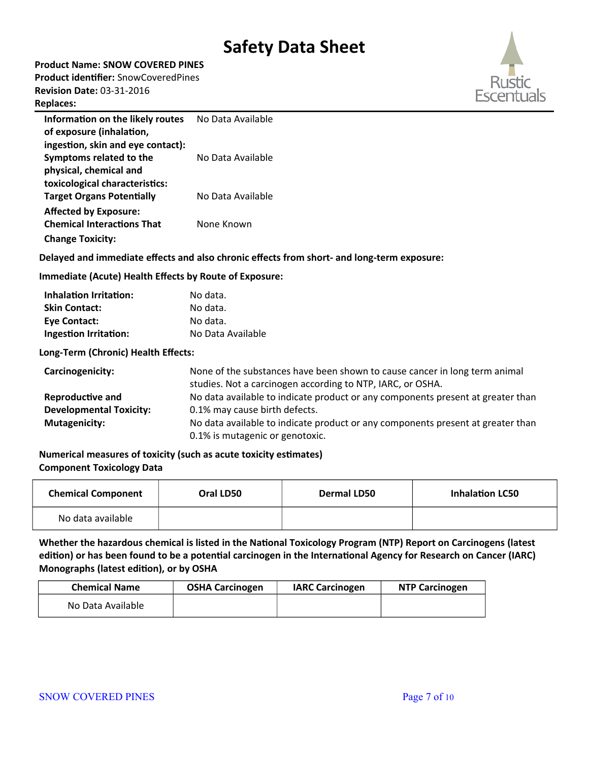**Product Name: SNOW COVERED PINES**

**Product identifier:** SnowCoveredPines **Revision Date:** 03-31-2016

#### **Replaces:**



| Information on the likely routes  | No Data Available |
|-----------------------------------|-------------------|
| of exposure (inhalation,          |                   |
| ingestion, skin and eye contact): |                   |
| Symptoms related to the           | No Data Available |
| physical, chemical and            |                   |
| toxicological characteristics:    |                   |
| <b>Target Organs Potentially</b>  | No Data Available |
| <b>Affected by Exposure:</b>      |                   |
| <b>Chemical Interactions That</b> | None Known        |
| <b>Change Toxicity:</b>           |                   |

#### **Delayed and immediate effects and also chronic effects from short- and long-term exposure:**

#### **Immediate (Acute) Health Effects by Route of Exposure:**

| <b>Inhalation Irritation:</b> | No data.          |
|-------------------------------|-------------------|
| <b>Skin Contact:</b>          | No data.          |
| <b>Eve Contact:</b>           | No data.          |
| Ingestion Irritation:         | No Data Available |

#### **Long-Term (Chronic) Health Effects:**

| Carcinogenicity:               | None of the substances have been shown to cause cancer in long term animal<br>studies. Not a carcinogen according to NTP, IARC, or OSHA. |
|--------------------------------|------------------------------------------------------------------------------------------------------------------------------------------|
| <b>Reproductive and</b>        | No data available to indicate product or any components present at greater than                                                          |
| <b>Developmental Toxicity:</b> | 0.1% may cause birth defects.                                                                                                            |
| <b>Mutagenicity:</b>           | No data available to indicate product or any components present at greater than                                                          |
|                                | 0.1% is mutagenic or genotoxic.                                                                                                          |

#### **Numerical measures of toxicity (such as acute toxicity estimates) Component Toxicology Data**

| <b>Chemical Component</b> | Oral LD50 | Dermal LD50 | <b>Inhalation LC50</b> |
|---------------------------|-----------|-------------|------------------------|
| No data available         |           |             |                        |

#### **Whether the hazardous chemical is listed in the National Toxicology Program (NTP) Report on Carcinogens (latest edition) or has been found to be a potential carcinogen in the International Agency for Research on Cancer (IARC) Monographs (latest edition), or by OSHA**

| <b>Chemical Name</b> | <b>OSHA Carcinogen</b> | <b>IARC Carcinogen</b> | <b>NTP Carcinogen</b> |
|----------------------|------------------------|------------------------|-----------------------|
| No Data Available    |                        |                        |                       |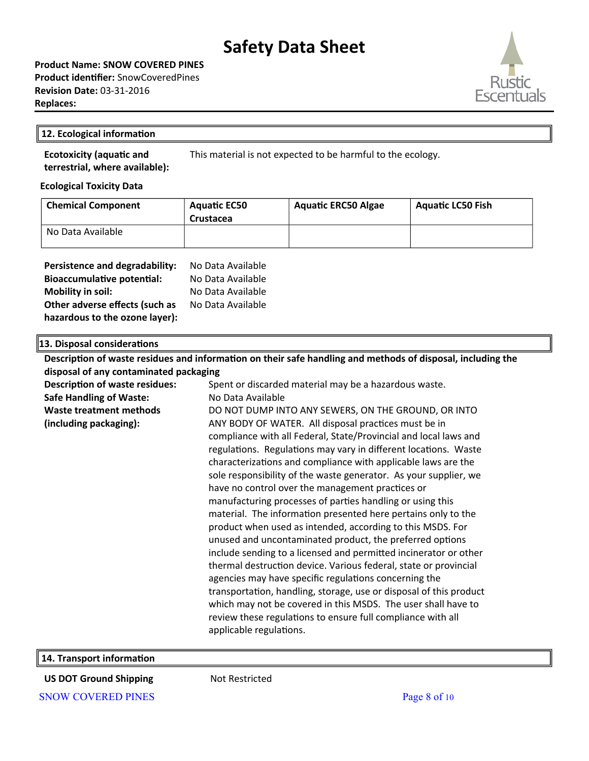**Product Name: SNOW COVERED PINES Product identifier:** SnowCoveredPines **Revision Date:** 03-31-2016 **Replaces:** 

#### **12. Ecological information**

This material is not expected to be harmful to the ecology.

**Ecological Toxicity Data**

**Ecotoxicity (aquatic and terrestrial, where available):**

| <b>Chemical Component</b> | <b>Aquatic EC50</b><br>Crustacea | <b>Aquatic ERC50 Algae</b> | <b>Aquatic LC50 Fish</b> |
|---------------------------|----------------------------------|----------------------------|--------------------------|
| No Data Available         |                                  |                            |                          |

| Persistence and degradability:    | No Data Available |
|-----------------------------------|-------------------|
| <b>Bioaccumulative potential:</b> | No Data Available |
| <b>Mobility in soil:</b>          | No Data Available |
| Other adverse effects (such as    | No Data Available |
| hazardous to the ozone layer):    |                   |

**13. Disposal considerations**

| Description of waste residues and information on their safe handling and methods of disposal, including the |                                                                    |  |
|-------------------------------------------------------------------------------------------------------------|--------------------------------------------------------------------|--|
| disposal of any contaminated packaging                                                                      |                                                                    |  |
| <b>Description of waste residues:</b>                                                                       | Spent or discarded material may be a hazardous waste.              |  |
| <b>Safe Handling of Waste:</b>                                                                              | No Data Available                                                  |  |
| <b>Waste treatment methods</b>                                                                              | DO NOT DUMP INTO ANY SEWERS, ON THE GROUND, OR INTO                |  |
| (including packaging):                                                                                      | ANY BODY OF WATER. All disposal practices must be in               |  |
|                                                                                                             | compliance with all Federal, State/Provincial and local laws and   |  |
|                                                                                                             | regulations. Regulations may vary in different locations. Waste    |  |
|                                                                                                             | characterizations and compliance with applicable laws are the      |  |
|                                                                                                             | sole responsibility of the waste generator. As your supplier, we   |  |
|                                                                                                             | have no control over the management practices or                   |  |
|                                                                                                             | manufacturing processes of parties handling or using this          |  |
|                                                                                                             | material. The information presented here pertains only to the      |  |
|                                                                                                             | product when used as intended, according to this MSDS. For         |  |
|                                                                                                             | unused and uncontaminated product, the preferred options           |  |
|                                                                                                             | include sending to a licensed and permitted incinerator or other   |  |
|                                                                                                             | thermal destruction device. Various federal, state or provincial   |  |
|                                                                                                             | agencies may have specific regulations concerning the              |  |
|                                                                                                             | transportation, handling, storage, use or disposal of this product |  |
|                                                                                                             | which may not be covered in this MSDS. The user shall have to      |  |
|                                                                                                             | review these regulations to ensure full compliance with all        |  |
|                                                                                                             | applicable regulations.                                            |  |
|                                                                                                             |                                                                    |  |

**14. Transport information**

**US DOT Ground Shipping Mot Restricted** SNOW COVERED PINES Page 8 of 10

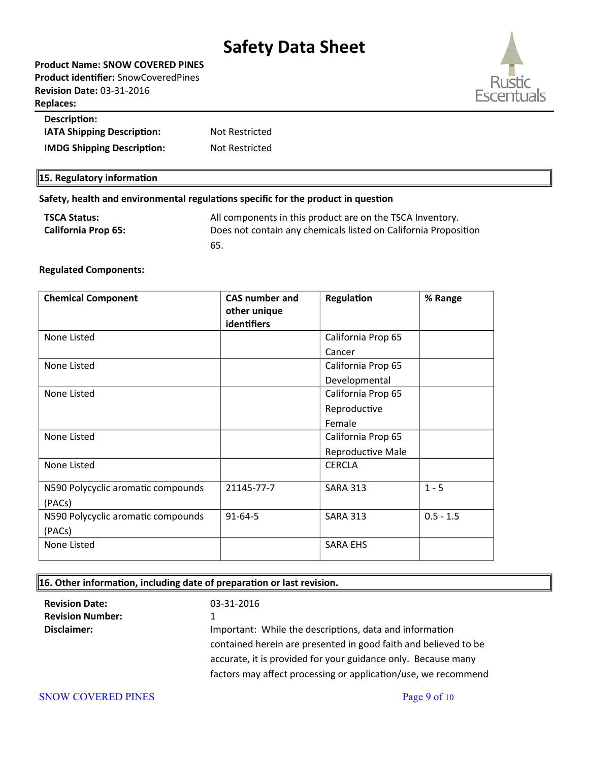| <b>Product Name: SNOW COVERED PINES</b> |
|-----------------------------------------|
| Product identifier: SnowCoveredPines    |
| <b>Revision Date: 03-31-2016</b>        |
| <b>Replaces:</b>                        |
|                                         |



### **Description: IATA Shipping Description:** Not Restricted **IMDG Shipping Description:** Not Restricted

#### **15. Regulatory information**

#### **Safety, health and environmental regulations specific for the product in question**

| <b>TSCA Status:</b>        | All components in this product are on the TSCA Inventory.       |
|----------------------------|-----------------------------------------------------------------|
| <b>California Prop 65:</b> | Does not contain any chemicals listed on California Proposition |
|                            | 65.                                                             |

#### **Regulated Components:**

| <b>Chemical Component</b>          | <b>CAS number and</b> | Regulation         | % Range     |
|------------------------------------|-----------------------|--------------------|-------------|
|                                    | other unique          |                    |             |
|                                    | identifiers           |                    |             |
| None Listed                        |                       | California Prop 65 |             |
|                                    |                       | Cancer             |             |
| None Listed                        |                       | California Prop 65 |             |
|                                    |                       | Developmental      |             |
| None Listed                        |                       | California Prop 65 |             |
|                                    |                       | Reproductive       |             |
|                                    |                       | Female             |             |
| None Listed                        |                       | California Prop 65 |             |
|                                    |                       | Reproductive Male  |             |
| None Listed                        |                       | <b>CERCLA</b>      |             |
|                                    |                       |                    |             |
| N590 Polycyclic aromatic compounds | 21145-77-7            | <b>SARA 313</b>    | $1 - 5$     |
| (PACs)                             |                       |                    |             |
| N590 Polycyclic aromatic compounds | $91 - 64 - 5$         | <b>SARA 313</b>    | $0.5 - 1.5$ |
| (PACs)                             |                       |                    |             |
| None Listed                        |                       | <b>SARA EHS</b>    |             |

#### **16. Other information, including date of preparation or last revision.**

| <b>Revision Date:</b>   | 03-31-2016                                                      |
|-------------------------|-----------------------------------------------------------------|
| <b>Revision Number:</b> |                                                                 |
| Disclaimer:             | Important: While the descriptions, data and information         |
|                         | contained herein are presented in good faith and believed to be |
|                         | accurate, it is provided for your guidance only. Because many   |
|                         | factors may affect processing or application/use, we recommend  |

#### SNOW COVERED PINES Page 9 of 10